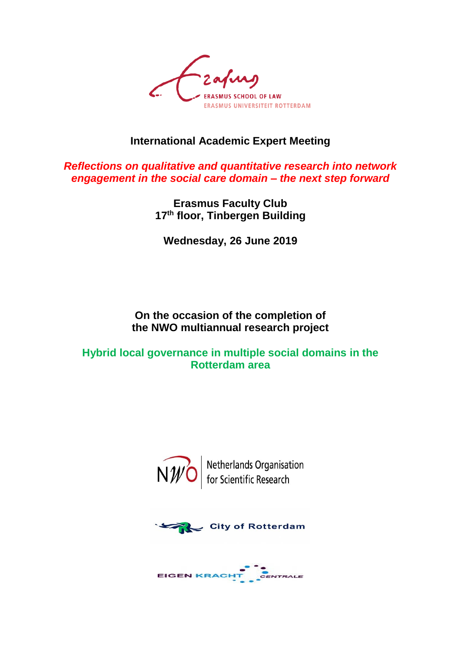

### **International Academic Expert Meeting**

*Reflections on qualitative and quantitative research into network engagement in the social care domain – the next step forward*

> **Erasmus Faculty Club 17th floor, Tinbergen Building**

**Wednesday, 26 June 2019**

### **On the occasion of the completion of the NWO multiannual research project**

**Hybrid local governance in multiple social domains in the Rotterdam area**



 $\widehat{\text{NW}}$  Netherlands Organisation



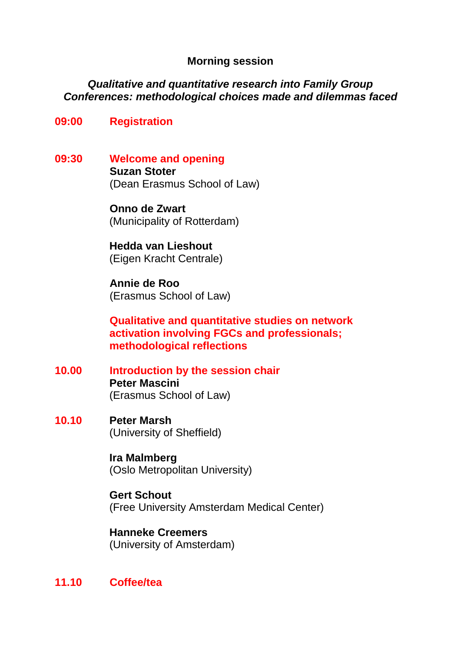### **Morning session**

### *Qualitative and quantitative research into Family Group Conferences: methodological choices made and dilemmas faced*

### **09:00 Registration**

**09:30 Welcome and opening Suzan Stoter** (Dean Erasmus School of Law)

> **Onno de Zwart** (Municipality of Rotterdam)

**Hedda van Lieshout** (Eigen Kracht Centrale)

**Annie de Roo** (Erasmus School of Law)

**Qualitative and quantitative studies on network activation involving FGCs and professionals; methodological reflections**

- **10.00 Introduction by the session chair Peter Mascini**  (Erasmus School of Law)
- **10.10 Peter Marsh** (University of Sheffield)

**Ira Malmberg** (Oslo Metropolitan University)

**Gert Schout** (Free University Amsterdam Medical Center)

**Hanneke Creemers**  (University of Amsterdam)

### **11.10 Coffee/tea**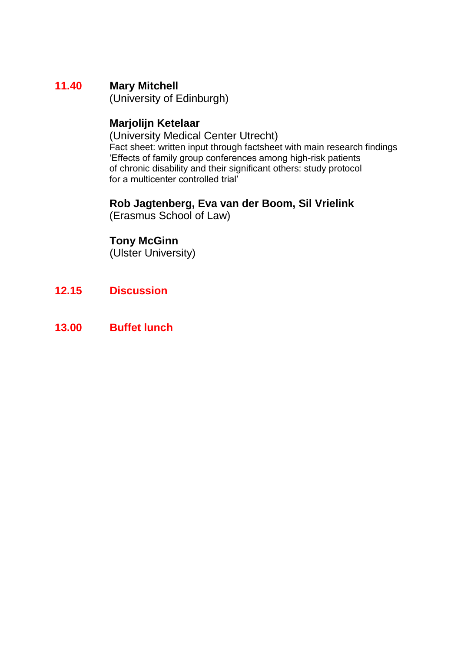## **11.40 Mary Mitchell**

(University of Edinburgh)

## **Marjolijn Ketelaar**

(University Medical Center Utrecht) Fact sheet: written input through factsheet with main research findings 'Effects of family group conferences among high-risk patients of chronic disability and their significant others: study protocol for a multicenter controlled trial'

## **Rob Jagtenberg, Eva van der Boom, Sil Vrielink**

(Erasmus School of Law)

## **Tony McGinn**

(Ulster University)

- **12.15 Discussion**
- **13.00 Buffet lunch**